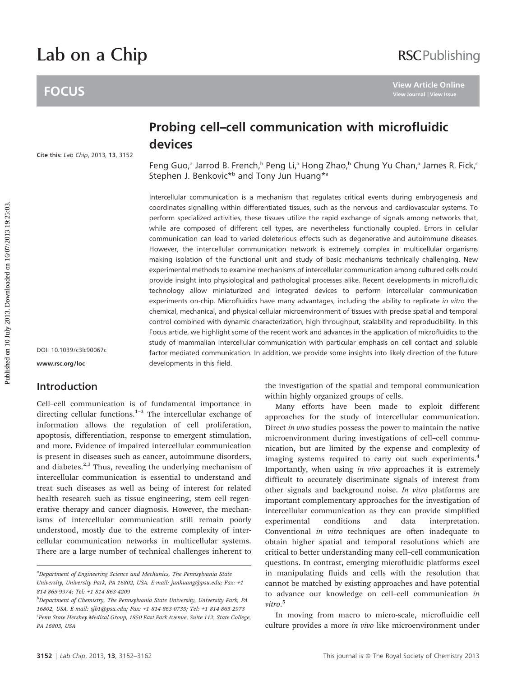# Lab on a Chip

## **FOCUS**

# Probing cell–cell communication with microfluidic devices

[Cite this:](http://dx.doi.org/10.1039/c3lc90067c) Lab Chip, 2013, 13, 3152

Feng Guo,<sup>a</sup> Jarrod B. French,<sup>b</sup> Peng Li,<sup>a</sup> Hong Zhao,<sup>b</sup> Chung Yu Chan,<sup>a</sup> James R. Fick,<sup>c</sup> Stephen J. Benkovic\*<sup>b</sup> and Tony Jun Huang<sup>\*a</sup>

Intercellular communication is a mechanism that regulates critical events during embryogenesis and coordinates signalling within differentiated tissues, such as the nervous and cardiovascular systems. To perform specialized activities, these tissues utilize the rapid exchange of signals among networks that, while are composed of different cell types, are nevertheless functionally coupled. Errors in cellular communication can lead to varied deleterious effects such as degenerative and autoimmune diseases. However, the intercellular communication network is extremely complex in multicellular organisms making isolation of the functional unit and study of basic mechanisms technically challenging. New experimental methods to examine mechanisms of intercellular communication among cultured cells could provide insight into physiological and pathological processes alike. Recent developments in microfluidic technology allow miniaturized and integrated devices to perform intercellular communication experiments on-chip. Microfluidics have many advantages, including the ability to replicate in vitro the chemical, mechanical, and physical cellular microenvironment of tissues with precise spatial and temporal control combined with dynamic characterization, high throughput, scalability and reproducibility. In this Focus article, we highlight some of the recent work and advances in the application of microfluidics to the study of mammalian intercellular communication with particular emphasis on cell contact and soluble factor mediated communication. In addition, we provide some insights into likely direction of the future developments in this field. FOCUS<br>
Probing cell-cell communication with microfluidic<br>
devices<br>
Feng Give, 2013. 13.3152<br>
Feng Give, 2013. 13.3152<br>
Feng Give, 2013. Darrade B. Fench,<sup>9</sup> Peng Li,<sup>9</sup> Hong Zhao,<sup>6</sup> Chung Yu Chan,<sup>9</sup> James R. Fit<br>
Stephen

DOI: 10.1039/c3lc90067c

### Introduction

www.rsc.org/loc

Cell–cell communication is of fundamental importance in directing cellular functions. $1-3$  The intercellular exchange of information allows the regulation of cell proliferation, apoptosis, differentiation, response to emergent stimulation, and more. Evidence of impaired intercellular communication is present in diseases such as cancer, autoimmune disorders, and diabetes. $2,3$  Thus, revealing the underlying mechanism of intercellular communication is essential to understand and treat such diseases as well as being of interest for related health research such as tissue engineering, stem cell regenerative therapy and cancer diagnosis. However, the mechanisms of intercellular communication still remain poorly understood, mostly due to the extreme complexity of intercellular communication networks in multicellular systems. There are a large number of technical challenges inherent to

the investigation of the spatial and temporal communication within highly organized groups of cells.

Many efforts have been made to exploit different approaches for the study of intercellular communication. Direct in vivo studies possess the power to maintain the native microenvironment during investigations of cell–cell communication, but are limited by the expense and complexity of imaging systems required to carry out such experiments.<sup>4</sup> Importantly, when using in vivo approaches it is extremely difficult to accurately discriminate signals of interest from other signals and background noise. In vitro platforms are important complementary approaches for the investigation of intercellular communication as they can provide simplified experimental conditions and data interpretation. Conventional in vitro techniques are often inadequate to obtain higher spatial and temporal resolutions which are critical to better understanding many cell–cell communication questions. In contrast, emerging microfluidic platforms excel in manipulating fluids and cells with the resolution that cannot be matched by existing approaches and have potential to advance our knowledge on cell–cell communication in vitro. 5

In moving from macro to micro-scale, microfluidic cell culture provides a more in vivo like microenvironment under

<sup>&</sup>lt;sup>a</sup>Department of Engineering Science and Mechanics, The Pennsylvania State University, University Park, PA 16802, USA. E-mail: junhuang@psu.edu; Fax: +1 814-865-9974; Tel: +1 814-863-4209

b Department of Chemistry, The Pennsylvania State University, University Park, PA 16802, USA. E-mail: sjb1@psu.edu; Fax: +1 814-863-0735; Tel: +1 814-865-2973 <sup>c</sup>Penn State Hershey Medical Group, 1850 East Park Avenue, Suite 112, State College, PA 16803, USA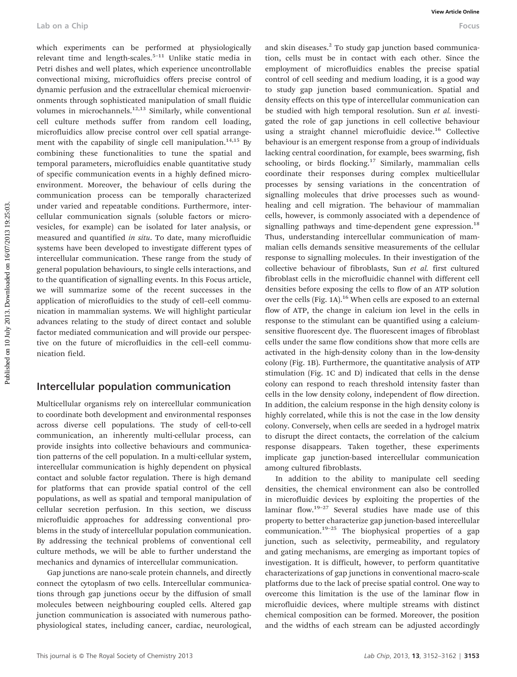which experiments can be performed at physiologically relevant time and length-scales.5–11 Unlike static media in Petri dishes and well plates, which experience uncontrollable convectional mixing, microfluidics offers precise control of dynamic perfusion and the extracellular chemical microenvironments through sophisticated manipulation of small fluidic volumes in microchannels.<sup>12,13</sup> Similarly, while conventional cell culture methods suffer from random cell loading, microfluidics allow precise control over cell spatial arrangement with the capability of single cell manipulation.<sup>14,15</sup> By combining these functionalities to tune the spatial and temporal parameters, microfluidics enable quantitative study of specific communication events in a highly defined microenvironment. Moreover, the behaviour of cells during the communication process can be temporally characterized under varied and repeatable conditions. Furthermore, intercellular communication signals (soluble factors or microvesicles, for example) can be isolated for later analysis, or measured and quantified in situ. To date, many microfluidic systems have been developed to investigate different types of intercellular communication. These range from the study of general population behaviours, to single cells interactions, and to the quantification of signalling events. In this Focus article, we will summarize some of the recent successes in the application of microfluidics to the study of cell–cell communication in mammalian systems. We will highlight particular advances relating to the study of direct contact and soluble factor mediated communication and will provide our perspective on the future of microfluidics in the cell–cell communication field.

#### Intercellular population communication

Multicellular organisms rely on intercellular communication to coordinate both development and environmental responses across diverse cell populations. The study of cell-to-cell communication, an inherently multi-cellular process, can provide insights into collective behaviours and communication patterns of the cell population. In a multi-cellular system, intercellular communication is highly dependent on physical contact and soluble factor regulation. There is high demand for platforms that can provide spatial control of the cell populations, as well as spatial and temporal manipulation of cellular secretion perfusion. In this section, we discuss microfluidic approaches for addressing conventional problems in the study of intercellular population communication. By addressing the technical problems of conventional cell culture methods, we will be able to further understand the mechanics and dynamics of intercellular communication.

Gap junctions are nano-scale protein channels, and directly connect the cytoplasm of two cells. Intercellular communications through gap junctions occur by the diffusion of small molecules between neighbouring coupled cells. Altered gap junction communication is associated with numerous pathophysiological states, including cancer, cardiac, neurological,

and skin diseases.<sup>2</sup> To study gap junction based communication, cells must be in contact with each other. Since the employment of microfluidics enables the precise spatial control of cell seeding and medium loading, it is a good way to study gap junction based communication. Spatial and density effects on this type of intercellular communication can be studied with high temporal resolution. Sun et al. investigated the role of gap junctions in cell collective behaviour using a straight channel microfluidic device.<sup>16</sup> Collective behaviour is an emergent response from a group of individuals lacking central coordination, for example, bees swarming, fish schooling, or birds flocking.<sup>17</sup> Similarly, mammalian cells coordinate their responses during complex multicellular processes by sensing variations in the concentration of signalling molecules that drive processes such as woundhealing and cell migration. The behaviour of mammalian cells, however, is commonly associated with a dependence of signalling pathways and time-dependent gene expression.<sup>18</sup> Thus, understanding intercellular communication of mammalian cells demands sensitive measurements of the cellular response to signalling molecules. In their investigation of the collective behaviour of fibroblasts, Sun et al. first cultured fibroblast cells in the microfluidic channel with different cell densities before exposing the cells to flow of an ATP solution over the cells (Fig. 1A).<sup>16</sup> When cells are exposed to an external flow of ATP, the change in calcium ion level in the cells in response to the stimulant can be quantified using a calciumsensitive fluorescent dye. The fluorescent images of fibroblast cells under the same flow conditions show that more cells are activated in the high-density colony than in the low-density colony (Fig. 1B). Furthermore, the quantitative analysis of ATP stimulation (Fig. 1C and D) indicated that cells in the dense colony can respond to reach threshold intensity faster than cells in the low density colony, independent of flow direction. In addition, the calcium response in the high density colony is highly correlated, while this is not the case in the low density colony. Conversely, when cells are seeded in a hydrogel matrix to disrupt the direct contacts, the correlation of the calcium response disappears. Taken together, these experiments implicate gap junction-based intercellular communication among cultured fibroblasts. Lab on a Chip<br>
which experiments can be performed at physiologically and skindiseases,<sup>2</sup> To study gap junction based communic-<br>
record from the chip and step in the control of cells must be in constrained the chip effects

In addition to the ability to manipulate cell seeding densities, the chemical environment can also be controlled in microfluidic devices by exploiting the properties of the laminar flow.19–27 Several studies have made use of this property to better characterize gap junction-based intercellular communication.<sup>19–25</sup> The biophysical properties of a gap junction, such as selectivity, permeability, and regulatory and gating mechanisms, are emerging as important topics of investigation. It is difficult, however, to perform quantitative characterizations of gap junctions in conventional macro-scale platforms due to the lack of precise spatial control. One way to overcome this limitation is the use of the laminar flow in microfluidic devices, where multiple streams with distinct chemical composition can be formed. Moreover, the position and the widths of each stream can be adjusted accordingly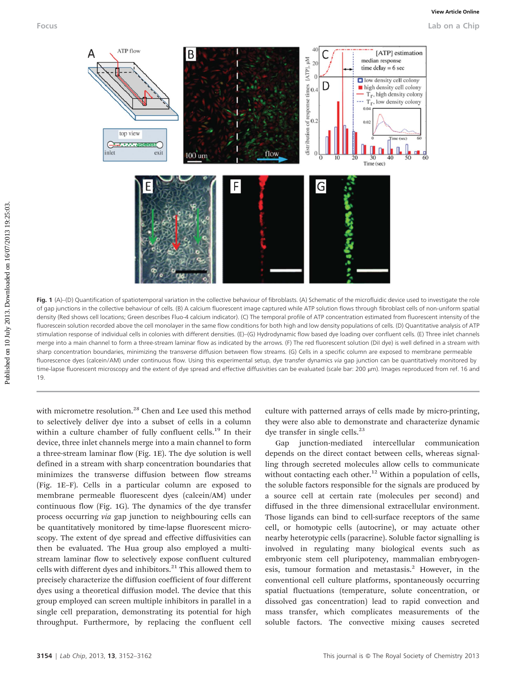Focus Lab on a Chip



Fig. 1 (A)–(D) Quantification of spatiotemporal variation in the collective behaviour of fibroblasts. (A) Schematic of the microfluidic device used to investigate the role of gap junctions in the collective behaviour of cells. (B) A calcium fluorescent image captured while ATP solution flows through fibroblast cells of non-uniform spatial density (Red shows cell locations; Green describes Fluo-4 calcium indicator). (C) The temporal profile of ATP concentration estimated from fluorescent intensity of the fluorescein solution recorded above the cell monolayer in the same flow conditions for both high and low density populations of cells. (D) Quantitative analysis of ATP stimulation response of individual cells in colonies with different densities. (E)–(G) Hydrodynamic flow based dye loading over confluent cells. (E) Three inlet channels merge into a main channel to form a three-stream laminar flow as indicated by the arrows. (F) The red fluorescent solution (DiI dye) is well defined in a stream with sharp concentration boundaries, minimizing the transverse diffusion between flow streams. (G) Cells in a specific column are exposed to membrane permeable fluorescence dyes (calcein/AM) under continuous flow. Using this experimental setup, dye transfer dynamics via gap junction can be quantitatively monitored by time-lapse fluorescent microscopy and the extent of dye spread and effective diffusivities can be evaluated (scale bar: 200 µm). Images reproduced from ref. 16 and 19.

with micrometre resolution.<sup>28</sup> Chen and Lee used this method to selectively deliver dye into a subset of cells in a column within a culture chamber of fully confluent cells.<sup>19</sup> In their device, three inlet channels merge into a main channel to form a three-stream laminar flow (Fig. 1E). The dye solution is well defined in a stream with sharp concentration boundaries that minimizes the transverse diffusion between flow streams (Fig. 1E–F). Cells in a particular column are exposed to membrane permeable fluorescent dyes (calcein/AM) under continuous flow (Fig. 1G). The dynamics of the dye transfer process occurring via gap junction to neighbouring cells can be quantitatively monitored by time-lapse fluorescent microscopy. The extent of dye spread and effective diffusivities can then be evaluated. The Hua group also employed a multistream laminar flow to selectively expose confluent cultured cells with different dyes and inhibitors.<sup>21</sup> This allowed them to precisely characterize the diffusion coefficient of four different dyes using a theoretical diffusion model. The device that this group employed can screen multiple inhibitors in parallel in a single cell preparation, demonstrating its potential for high throughput. Furthermore, by replacing the confluent cell

culture with patterned arrays of cells made by micro-printing, they were also able to demonstrate and characterize dynamic dye transfer in single cells.<sup>23</sup>

Gap junction-mediated intercellular communication depends on the direct contact between cells, whereas signalling through secreted molecules allow cells to communicate without contacting each other. $^{12}$  Within a population of cells, the soluble factors responsible for the signals are produced by a source cell at certain rate (molecules per second) and diffused in the three dimensional extracellular environment. Those ligands can bind to cell-surface receptors of the same cell, or homotypic cells (autocrine), or may actuate other nearby heterotypic cells (paracrine). Soluble factor signalling is involved in regulating many biological events such as embryonic stem cell pluripotency, mammalian embryogenesis, tumour formation and metastasis.<sup>2</sup> However, in the conventional cell culture platforms, spontaneously occurring spatial fluctuations (temperature, solute concentration, or dissolved gas concentration) lead to rapid convection and mass transfer, which complicates measurements of the soluble factors. The convective mixing causes secreted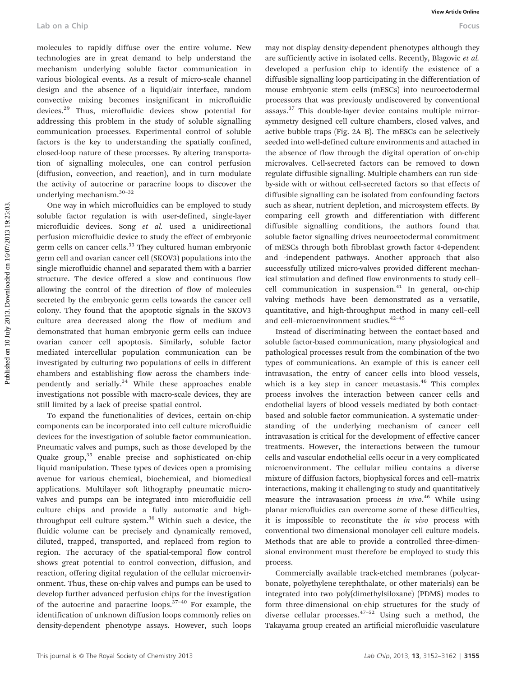molecules to rapidly diffuse over the entire volume. New technologies are in great demand to help understand the mechanism underlying soluble factor communication in various biological events. As a result of micro-scale channel design and the absence of a liquid/air interface, random convective mixing becomes insignificant in microfluidic devices.<sup>29</sup> Thus, microfluidic devices show potential for addressing this problem in the study of soluble signalling communication processes. Experimental control of soluble factors is the key to understanding the spatially confined, closed-loop nature of these processes. By altering transportation of signalling molecules, one can control perfusion (diffusion, convection, and reaction), and in turn modulate the activity of autocrine or paracrine loops to discover the underlying mechanism.30–32

One way in which microfluidics can be employed to study soluble factor regulation is with user-defined, single-layer microfluidic devices. Song et al. used a unidirectional perfusion microfluidic device to study the effect of embryonic germ cells on cancer cells.<sup>33</sup> They cultured human embryonic germ cell and ovarian cancer cell (SKOV3) populations into the single microfluidic channel and separated them with a barrier structure. The device offered a slow and continuous flow allowing the control of the direction of flow of molecules secreted by the embryonic germ cells towards the cancer cell colony. They found that the apoptotic signals in the SKOV3 culture area decreased along the flow of medium and demonstrated that human embryonic germ cells can induce ovarian cancer cell apoptosis. Similarly, soluble factor mediated intercellular population communication can be investigated by culturing two populations of cells in different chambers and establishing flow across the chambers independently and serially.<sup>34</sup> While these approaches enable investigations not possible with macro-scale devices, they are still limited by a lack of precise spatial control.

To expand the functionalities of devices, certain on-chip components can be incorporated into cell culture microfluidic devices for the investigation of soluble factor communication. Pneumatic valves and pumps, such as those developed by the Quake group,<sup>35</sup> enable precise and sophisticated on-chip liquid manipulation. These types of devices open a promising avenue for various chemical, biochemical, and biomedical applications. Multilayer soft lithography pneumatic microvalves and pumps can be integrated into microfluidic cell culture chips and provide a fully automatic and highthroughput cell culture system.<sup>36</sup> Within such a device, the fluidic volume can be precisely and dynamically removed, diluted, trapped, transported, and replaced from region to region. The accuracy of the spatial-temporal flow control shows great potential to control convection, diffusion, and reaction, offering digital regulation of the cellular microenvironment. Thus, these on-chip valves and pumps can be used to develop further advanced perfusion chips for the investigation of the autocrine and paracrine loops. $37-40$  For example, the identification of unknown diffusion loops commonly relies on density-dependent phenotype assays. However, such loops

may not display density-dependent phenotypes although they are sufficiently active in isolated cells. Recently, Blagovic et al. developed a perfusion chip to identify the existence of a diffusible signalling loop participating in the differentiation of mouse embryonic stem cells (mESCs) into neuroectodermal processors that was previously undiscovered by conventional assays.<sup>37</sup> This double-layer device contains multiple mirrorsymmetry designed cell culture chambers, closed valves, and active bubble traps (Fig. 2A–B). The mESCs can be selectively seeded into well-defined culture environments and attached in the absence of flow through the digital operation of on-chip microvalves. Cell-secreted factors can be removed to down regulate diffusible signalling. Multiple chambers can run sideby-side with or without cell-secreted factors so that effects of diffusible signalling can be isolated from confounding factors such as shear, nutrient depletion, and microsystem effects. By comparing cell growth and differentiation with different diffusible signalling conditions, the authors found that soluble factor signalling drives neuroectodermal commitment of mESCs through both fibroblast growth factor 4-dependent and -independent pathways. Another approach that also successfully utilized micro-valves provided different mechanical stimulation and defined flow environments to study cell– cell communication in suspension.<sup>41</sup> In general, on-chip valving methods have been demonstrated as a versatile, quantitative, and high-throughput method in many cell–cell and cell–microenvironment studies.42–45 Leb on a Chip<br>
molecules to rapidly diffuse over the entire volume. New may not display density-dependent phenotypes at<br>his echo-profession in the entire entire entire entire entire entire entire entire entire entire entir

Instead of discriminating between the contact-based and soluble factor-based communication, many physiological and pathological processes result from the combination of the two types of communications. An example of this is cancer cell intravasation, the entry of cancer cells into blood vessels, which is a key step in cancer metastasis.<sup>46</sup> This complex process involves the interaction between cancer cells and endothelial layers of blood vessels mediated by both contactbased and soluble factor communication. A systematic understanding of the underlying mechanism of cancer cell intravasation is critical for the development of effective cancer treatments. However, the interactions between the tumour cells and vascular endothelial cells occur in a very complicated microenvironment. The cellular milieu contains a diverse mixture of diffusion factors, biophysical forces and cell–matrix interactions, making it challenging to study and quantitatively measure the intravasation process in vivo.<sup>46</sup> While using planar microfluidics can overcome some of these difficulties, it is impossible to reconstitute the in vivo process with conventional two dimensional monolayer cell culture models. Methods that are able to provide a controlled three-dimensional environment must therefore be employed to study this process.

Commercially available track-etched membranes (polycarbonate, polyethylene terephthalate, or other materials) can be integrated into two poly(dimethylsiloxane) (PDMS) modes to form three-dimensional on-chip structures for the study of diverse cellular processes.<sup>47-52</sup> Using such a method, the Takayama group created an artificial microfluidic vasculature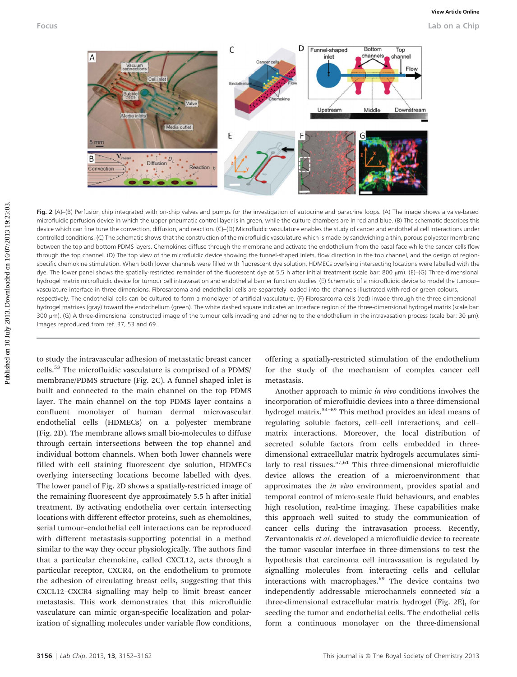

Fig. 2 (A)–(B) Perfusion chip integrated with on-chip valves and pumps for the investigation of autocrine and paracrine loops. (A) The image shows a valve-based microfluidic perfusion device in which the upper pneumatic control layer is in green, while the culture chambers are in red and blue. (B) The schematic describes this device which can fine tune the convection, diffusion, and reaction. (C)–(D) Microfluidic vasculature enables the study of cancer and endothelial cell interactions under controlled conditions. (C) The schematic shows that the construction of the microfluidic vasculature which is made by sandwiching a thin, porous polyester membrane between the top and bottom PDMS layers. Chemokines diffuse through the membrane and activate the endothelium from the basal face while the cancer cells flow through the top channel. (D) The top view of the microfluidic device showing the funnel-shaped inlets, flow direction in the top channel, and the design of regionspecific chemokine stimulation. When both lower channels were filled with fluorescent dye solution, HDMECs overlying intersecting locations were labelled with the dye. The lower panel shows the spatially-restricted remainder of the fluorescent dye at 5.5 h after initial treatment (scale bar: 800 µm). (E)–(G) Three-dimensional hydrogel matrix microfluidic device for tumour cell intravasation and endothelial barrier function studies. (E) Schematic of a microfluidic device to model the tumourvasculature interface in three-dimensions. Fibrosarcoma and endothelial cells are separately loaded into the channels illustrated with red or green colours, respectively. The endothelial cells can be cultured to form a monolayer of artificial vasculature. (F) Fibrosarcoma cells (red) invade through the three-dimensional hydrogel matrixes (gray) toward the endothelium (green). The white dashed square indicates an interface region of the three-dimensional hydrogel matrix (scale bar: 300 µm). (G) A three-dimensional constructed image of the tumour cells invading and adhering to the endothelium in the intravasation process (scale bar: 30 µm). Images reproduced from ref. 37, 53 and 69.

to study the intravascular adhesion of metastatic breast cancer cells.53 The microfluidic vasculature is comprised of a PDMS/ membrane/PDMS structure (Fig. 2C). A funnel shaped inlet is built and connected to the main channel on the top PDMS layer. The main channel on the top PDMS layer contains a confluent monolayer of human dermal microvascular endothelial cells (HDMECs) on a polyester membrane (Fig. 2D). The membrane allows small bio-molecules to diffuse through certain intersections between the top channel and individual bottom channels. When both lower channels were filled with cell staining fluorescent dye solution, HDMECs overlying intersecting locations become labelled with dyes. The lower panel of Fig. 2D shows a spatially-restricted image of the remaining fluorescent dye approximately 5.5 h after initial treatment. By activating endothelia over certain intersecting locations with different effector proteins, such as chemokines, serial tumour–endothelial cell interactions can be reproduced with different metastasis-supporting potential in a method similar to the way they occur physiologically. The authors find that a particular chemokine, called CXCL12, acts through a particular receptor, CXCR4, on the endothelium to promote the adhesion of circulating breast cells, suggesting that this CXCL12–CXCR4 signalling may help to limit breast cancer metastasis. This work demonstrates that this microfluidic vasculature can mimic organ-specific localization and polarization of signalling molecules under variable flow conditions,

offering a spatially-restricted stimulation of the endothelium for the study of the mechanism of complex cancer cell metastasis.

Another approach to mimic in vivo conditions involves the incorporation of microfluidic devices into a three-dimensional hydrogel matrix.54–69 This method provides an ideal means of regulating soluble factors, cell–cell interactions, and cell– matrix interactions. Moreover, the local distribution of secreted soluble factors from cells embedded in threedimensional extracellular matrix hydrogels accumulates similarly to real tissues. $57,61$  This three-dimensional microfluidic device allows the creation of a microenvironment that approximates the in vivo environment, provides spatial and temporal control of micro-scale fluid behaviours, and enables high resolution, real-time imaging. These capabilities make this approach well suited to study the communication of cancer cells during the intravasation process. Recently, Zervantonakis et al. developed a microfluidic device to recreate the tumor–vascular interface in three-dimensions to test the hypothesis that carcinoma cell intravasation is regulated by signalling molecules from interacting cells and cellular interactions with macrophages.<sup>69</sup> The device contains two independently addressable microchannels connected via a three-dimensional extracellular matrix hydrogel (Fig. 2E), for seeding the tumor and endothelial cells. The endothelial cells form a continuous monolayer on the three-dimensional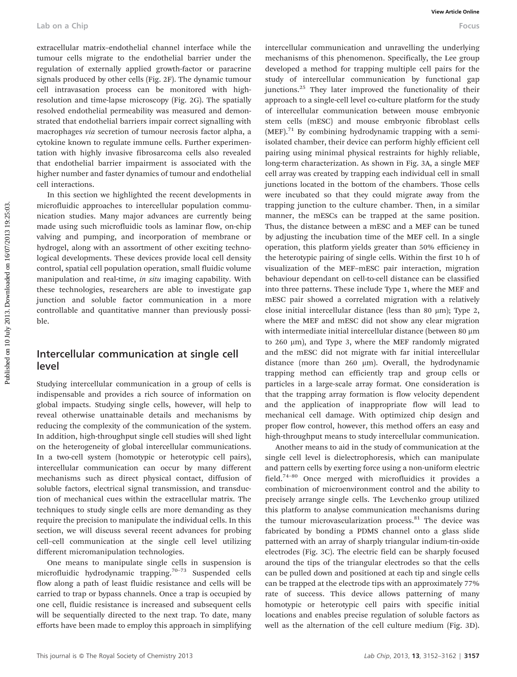extracellular matrix–endothelial channel interface while the tumour cells migrate to the endothelial barrier under the regulation of externally applied growth-factor or paracrine signals produced by other cells (Fig. 2F). The dynamic tumour cell intravasation process can be monitored with highresolution and time-lapse microscopy (Fig. 2G). The spatially resolved endothelial permeability was measured and demonstrated that endothelial barriers impair correct signalling with macrophages via secretion of tumour necrosis factor alpha, a cytokine known to regulate immune cells. Further experimentation with highly invasive fibrosarcoma cells also revealed that endothelial barrier impairment is associated with the higher number and faster dynamics of tumour and endothelial cell interactions.

In this section we highlighted the recent developments in microfluidic approaches to intercellular population communication studies. Many major advances are currently being made using such microfluidic tools as laminar flow, on-chip valving and pumping, and incorporation of membrane or hydrogel, along with an assortment of other exciting technological developments. These devices provide local cell density control, spatial cell population operation, small fluidic volume manipulation and real-time, in situ imaging capability. With these technologies, researchers are able to investigate gap junction and soluble factor communication in a more controllable and quantitative manner than previously possible.

#### Intercellular communication at single cell level

Studying intercellular communication in a group of cells is indispensable and provides a rich source of information on global impacts. Studying single cells, however, will help to reveal otherwise unattainable details and mechanisms by reducing the complexity of the communication of the system. In addition, high-throughput single cell studies will shed light on the heterogeneity of global intercellular communications. In a two-cell system (homotypic or heterotypic cell pairs), intercellular communication can occur by many different mechanisms such as direct physical contact, diffusion of soluble factors, electrical signal transmission, and transduction of mechanical cues within the extracellular matrix. The techniques to study single cells are more demanding as they require the precision to manipulate the individual cells. In this section, we will discuss several recent advances for probing cell–cell communication at the single cell level utilizing different micromanipulation technologies.

One means to manipulate single cells in suspension is microfluidic hydrodynamic trapping.<sup>70-73</sup> Suspended cells flow along a path of least fluidic resistance and cells will be carried to trap or bypass channels. Once a trap is occupied by one cell, fluidic resistance is increased and subsequent cells will be sequentially directed to the next trap. To date, many efforts have been made to employ this approach in simplifying

intercellular communication and unravelling the underlying mechanisms of this phenomenon. Specifically, the Lee group developed a method for trapping multiple cell pairs for the study of intercellular communication by functional gap junctions.<sup>25</sup> They later improved the functionality of their approach to a single-cell level co-culture platform for the study of intercellular communication between mouse embryonic stem cells (mESC) and mouse embryonic fibroblast cells  $(MEF)$ <sup>71</sup> By combining hydrodynamic trapping with a semiisolated chamber, their device can perform highly efficient cell pairing using minimal physical restraints for highly reliable, long-term characterization. As shown in Fig. 3A, a single MEF cell array was created by trapping each individual cell in small junctions located in the bottom of the chambers. Those cells were incubated so that they could migrate away from the trapping junction to the culture chamber. Then, in a similar manner, the mESCs can be trapped at the same position. Thus, the distance between a mESC and a MEF can be tuned by adjusting the incubation time of the MEF cell. In a single operation, this platform yields greater than 50% efficiency in the heterotypic pairing of single cells. Within the first 10 h of visualization of the MEF–mESC pair interaction, migration behaviour dependant on cell-to-cell distance can be classified into three patterns. These include Type 1, where the MEF and mESC pair showed a correlated migration with a relatively close initial intercellular distance (less than 80  $\mu$ m); Type 2, where the MEF and mESC did not show any clear migration with intermediate initial intercellular distance (between 80 µm to 260 µm), and Type 3, where the MEF randomly migrated and the mESC did not migrate with far initial intercellular distance (more than  $260 \mu m$ ). Overall, the hydrodynamic trapping method can efficiently trap and group cells or particles in a large-scale array format. One consideration is that the trapping array formation is flow velocity dependent and the application of inappropriate flow will lead to mechanical cell damage. With optimized chip design and proper flow control, however, this method offers an easy and high-throughput means to study intercellular communication. Lab on a Chip<br>
caractellular matrix-endodhelial channel interface while the<br>
intercellular communication and unrevelling the underlying<br>
tunour cells matrix to the conducted intert matrix to the conducted by the care matri

Another means to aid in the study of communication at the single cell level is dielectrophoresis, which can manipulate and pattern cells by exerting force using a non-uniform electric field.<sup>74-80</sup> Once merged with microfluidics it provides a combination of microenvironment control and the ability to precisely arrange single cells. The Levchenko group utilized this platform to analyse communication mechanisms during the tumour microvascularization process.<sup>81</sup> The device was fabricated by bonding a PDMS channel onto a glass slide patterned with an array of sharply triangular indium-tin-oxide electrodes (Fig. 3C). The electric field can be sharply focused around the tips of the triangular electrodes so that the cells can be pulled down and positioned at each tip and single cells can be trapped at the electrode tips with an approximately 77% rate of success. This device allows patterning of many homotypic or heterotypic cell pairs with specific initial locations and enables precise regulation of soluble factors as well as the alternation of the cell culture medium (Fig. 3D).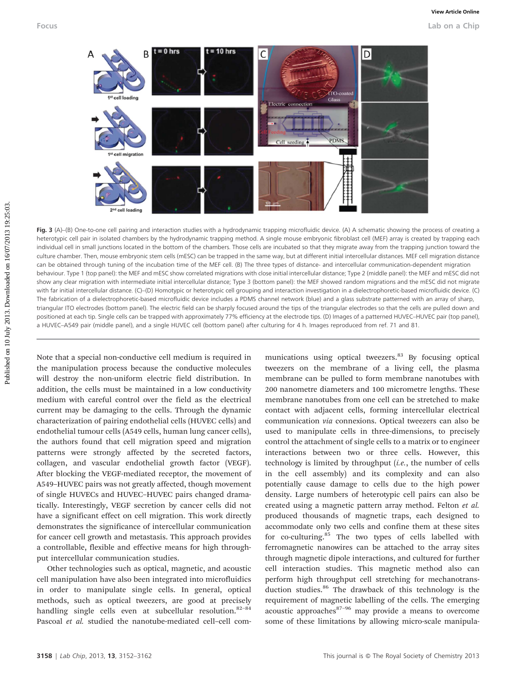

Fig. 3 (A)–(B) One-to-one cell pairing and interaction studies with a hydrodynamic trapping microfluidic device. (A) A schematic showing the process of creating a heterotypic cell pair in isolated chambers by the hydrodynamic trapping method. A single mouse embryonic fibroblast cell (MEF) array is created by trapping each individual cell in small junctions located in the bottom of the chambers. Those cells are incubated so that they migrate away from the trapping junction toward the culture chamber. Then, mouse embryonic stem cells (mESC) can be trapped in the same way, but at different initial intercellular distances. MEF cell migration distance can be obtained through tuning of the incubation time of the MEF cell. (B) The three types of distance- and intercellular communication-dependent migration behaviour. Type 1 (top panel): the MEF and mESC show correlated migrations with close initial intercellular distance; Type 2 (middle panel): the MEF and mESC did not show any clear migration with intermediate initial intercellular distance; Type 3 (bottom panel): the MEF showed random migrations and the mESC did not migrate with far initial intercellular distance. (C)–(D) Homotypic or heterotypic cell grouping and interaction investigation in a dielectrophoretic-based microfluidic device. (C) The fabrication of a dielectrophoretic-based microfluidic device includes a PDMS channel network (blue) and a glass substrate patterned with an array of sharp, triangular ITO electrodes (bottom panel). The electric field can be sharply focused around the tips of the triangular electrodes so that the cells are pulled down and positioned at each tip. Single cells can be trapped with approximately 77% efficiency at the electrode tips. (D) Images of a patterned HUVEC–HUVEC pair (top panel), a HUVEC–A549 pair (middle panel), and a single HUVEC cell (bottom panel) after culturing for 4 h. Images reproduced from ref. 71 and 81.

Note that a special non-conductive cell medium is required in the manipulation process because the conductive molecules will destroy the non-uniform electric field distribution. In addition, the cells must be maintained in a low conductivity medium with careful control over the field as the electrical current may be damaging to the cells. Through the dynamic characterization of pairing endothelial cells (HUVEC cells) and endothelial tumour cells (A549 cells, human lung cancer cells), the authors found that cell migration speed and migration patterns were strongly affected by the secreted factors, collagen, and vascular endothelial growth factor (VEGF). After blocking the VEGF-mediated receptor, the movement of A549–HUVEC pairs was not greatly affected, though movement of single HUVECs and HUVEC-HUVEC pairs changed dramatically. Interestingly, VEGF secretion by cancer cells did not have a significant effect on cell migration. This work directly demonstrates the significance of intercellular communication for cancer cell growth and metastasis. This approach provides a controllable, flexible and effective means for high throughput intercellular communication studies.

Other technologies such as optical, magnetic, and acoustic cell manipulation have also been integrated into microfluidics in order to manipulate single cells. In general, optical methods, such as optical tweezers, are good at precisely handling single cells even at subcellular resolution.<sup>82-84</sup> Pascoal et al. studied the nanotube-mediated cell–cell communications using optical tweezers.<sup>83</sup> By focusing optical tweezers on the membrane of a living cell, the plasma membrane can be pulled to form membrane nanotubes with 200 nanometre diameters and 100 micrometre lengths. These membrane nanotubes from one cell can be stretched to make contact with adjacent cells, forming intercellular electrical communication via connexions. Optical tweezers can also be used to manipulate cells in three-dimensions, to precisely control the attachment of single cells to a matrix or to engineer interactions between two or three cells. However, this technology is limited by throughput  $(i.e.,$  the number of cells in the cell assembly) and its complexity and can also potentially cause damage to cells due to the high power density. Large numbers of heterotypic cell pairs can also be created using a magnetic pattern array method. Felton et al. produced thousands of magnetic traps, each designed to accommodate only two cells and confine them at these sites for co-culturing.<sup>85</sup> The two types of cells labelled with ferromagnetic nanowires can be attached to the array sites through magnetic dipole interactions, and cultured for further cell interaction studies. This magnetic method also can perform high throughput cell stretching for mechanotransduction studies.<sup>86</sup> The drawback of this technology is the requirement of magnetic labelling of the cells. The emerging acoustic approaches $87-96$  may provide a means to overcome some of these limitations by allowing micro-scale manipula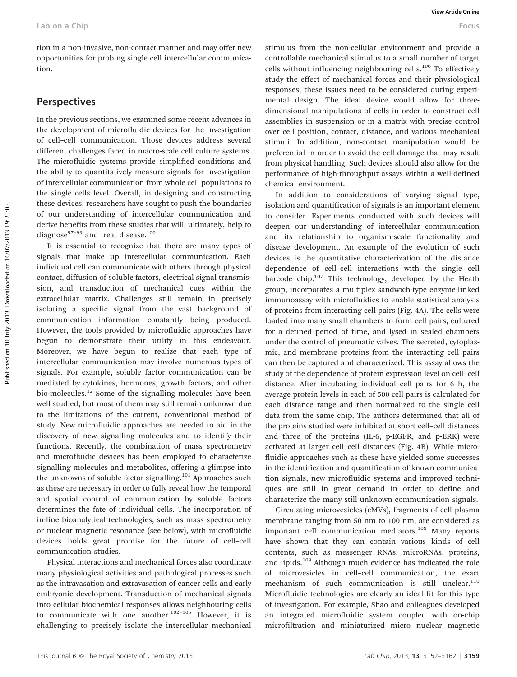tion in a non-invasive, non-contact manner and may offer new opportunities for probing single cell intercellular communication.

#### **Perspectives**

In the previous sections, we examined some recent advances in the development of microfluidic devices for the investigation of cell–cell communication. Those devices address several different challenges faced in macro-scale cell culture systems. The microfluidic systems provide simplified conditions and the ability to quantitatively measure signals for investigation of intercellular communication from whole cell populations to the single cells level. Overall, in designing and constructing these devices, researchers have sought to push the boundaries of our understanding of intercellular communication and derive benefits from these studies that will, ultimately, help to diagnose<sup>97-99</sup> and treat disease.<sup>100</sup>

It is essential to recognize that there are many types of signals that make up intercellular communication. Each individual cell can communicate with others through physical contact, diffusion of soluble factors, electrical signal transmission, and transduction of mechanical cues within the extracellular matrix. Challenges still remain in precisely isolating a specific signal from the vast background of communication information constantly being produced. However, the tools provided by microfluidic approaches have begun to demonstrate their utility in this endeavour. Moreover, we have begun to realize that each type of intercellular communication may involve numerous types of signals. For example, soluble factor communication can be mediated by cytokines, hormones, growth factors, and other bio-molecules.<sup>12</sup> Some of the signalling molecules have been well studied, but most of them may still remain unknown due to the limitations of the current, conventional method of study. New microfluidic approaches are needed to aid in the discovery of new signalling molecules and to identify their functions. Recently, the combination of mass spectrometry and microfluidic devices has been employed to characterize signalling molecules and metabolites, offering a glimpse into the unknowns of soluble factor signalling.<sup>101</sup> Approaches such as these are necessary in order to fully reveal how the temporal and spatial control of communication by soluble factors determines the fate of individual cells. The incorporation of in-line bioanalytical technologies, such as mass spectrometry or nuclear magnetic resonance (see below), with microfluidic devices holds great promise for the future of cell–cell communication studies.

Physical interactions and mechanical forces also coordinate many physiological activities and pathological processes such as the intravasation and extravasation of cancer cells and early embryonic development. Transduction of mechanical signals into cellular biochemical responses allows neighbouring cells to communicate with one another.<sup>102-105</sup> However, it is challenging to precisely isolate the intercellular mechanical stimulus from the non-cellular environment and provide a controllable mechanical stimulus to a small number of target cells without influencing neighbouring cells.<sup>106</sup> To effectively study the effect of mechanical forces and their physiological responses, these issues need to be considered during experimental design. The ideal device would allow for threedimensional manipulations of cells in order to construct cell assemblies in suspension or in a matrix with precise control over cell position, contact, distance, and various mechanical stimuli. In addition, non-contact manipulation would be preferential in order to avoid the cell damage that may result from physical handling. Such devices should also allow for the performance of high-throughput assays within a well-defined chemical environment.

In addition to considerations of varying signal type, isolation and quantification of signals is an important element to consider. Experiments conducted with such devices will deepen our understanding of intercellular communication and its relationship to organism-scale functionality and disease development. An example of the evolution of such devices is the quantitative characterization of the distance dependence of cell–cell interactions with the single cell barcode chip. $107$  This technology, developed by the Heath group, incorporates a multiplex sandwich-type enzyme-linked immunoassay with microfluidics to enable statistical analysis of proteins from interacting cell pairs (Fig. 4A). The cells were loaded into many small chambers to form cell pairs, cultured for a defined period of time, and lysed in sealed chambers under the control of pneumatic valves. The secreted, cytoplasmic, and membrane proteins from the interacting cell pairs can then be captured and characterized. This assay allows the study of the dependence of protein expression level on cell–cell distance. After incubating individual cell pairs for 6 h, the average protein levels in each of 500 cell pairs is calculated for each distance range and then normalized to the single cell data from the same chip. The authors determined that all of the proteins studied were inhibited at short cell–cell distances and three of the proteins (IL-6, p-EGFR, and p-ERK) were activated at larger cell–cell distances (Fig. 4B). While microfluidic approaches such as these have yielded some successes in the identification and quantification of known communication signals, new microfluidic systems and improved techniques are still in great demand in order to define and characterize the many still unknown communication signals. Leb on a Chip<br>
tion in a non-invasive, non-contact manner and may offer new simulus from the non-cellular environment and provide<br>
operaturities for probing single cell interectibut commuties . controlls which includes a n

> Circulating microvesicles (cMVs), fragments of cell plasma membrane ranging from 50 nm to 100 nm, are considered as important cell communication mediators.<sup>108</sup> Many reports have shown that they can contain various kinds of cell contents, such as messenger RNAs, microRNAs, proteins, and lipids.<sup>109</sup> Although much evidence has indicated the role of microvesicles in cell–cell communication, the exact mechanism of such communication is still unclear.<sup>110</sup> Microfluidic technologies are clearly an ideal fit for this type of investigation. For example, Shao and colleagues developed an integrated microfluidic system coupled with on-chip microfiltration and miniaturized micro nuclear magnetic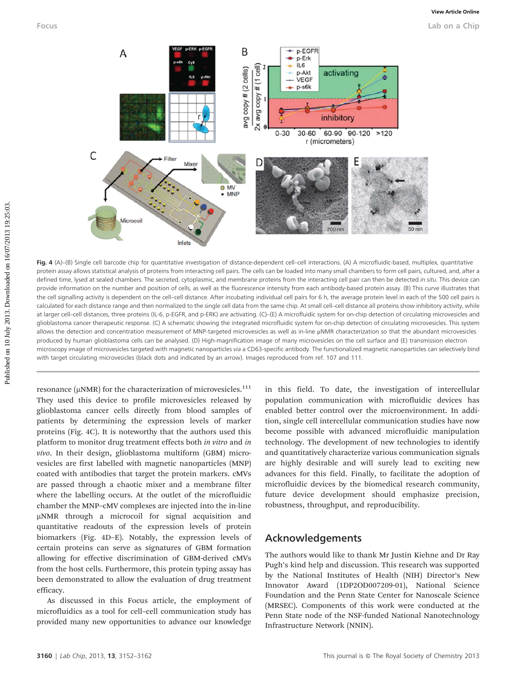

Fig. 4 (A)–(B) Single cell barcode chip for quantitative investigation of distance-dependent cell–cell interactions. (A) A microfluidic-based, multiplex, quantitative protein assay allows statistical analysis of proteins from interacting cell pairs. The cells can be loaded into many small chambers to form cell pairs, cultured, and, after a defined time, lysed at sealed chambers. The secreted, cytoplasmic, and membrane proteins from the interacting cell pair can then be detected in situ. This device can provide information on the number and position of cells, as well as the fluorescence intensity from each antibody-based protein assay. (B) This curve illustrates that the cell signalling activity is dependent on the cell–cell distance. After incubating individual cell pairs for 6 h, the average protein level in each of the 500 cell pairs is calculated for each distance range and then normalized to the single cell data from the same chip. At small cell–cell distance all proteins show inhibitory activity, while at larger cell–cell distances, three proteins (IL-6, p-EGFR, and p-ERK) are activating. (C)–(E) A microfluidic system for on-chip detection of circulating microvesicles and glioblastoma cancer therapeutic response. (C) A schematic showing the integrated microfluidic system for on-chip detection of circulating microvesicles. This system allows the detection and concentration measurement of MNP-targeted microvesicles as well as in-line µNMR characterization so that the abundant microvesicles produced by human glioblastoma cells can be analysed. (D) High-magnification image of many microvesicles on the cell surface and (E) transmission electron microscopy image of microvesicles targeted with magnetic nanoparticles via a CD63-specific antibody. The functionalized magnetic nanoparticles can selectively bind with target circulating microvesicles (black dots and indicated by an arrow). Images reproduced from ref. 107 and 111.

resonance ( $\mu$ NMR) for the characterization of microvesicles.<sup>111</sup> They used this device to profile microvesicles released by glioblastoma cancer cells directly from blood samples of patients by determining the expression levels of marker proteins (Fig. 4C). It is noteworthy that the authors used this platform to monitor drug treatment effects both in vitro and in vivo. In their design, glioblastoma multiform (GBM) microvesicles are first labelled with magnetic nanoparticles (MNP) coated with antibodies that target the protein markers. cMVs are passed through a chaotic mixer and a membrane filter where the labelling occurs. At the outlet of the microfluidic chamber the MNP–cMV complexes are injected into the in-line µNMR through a microcoil for signal acquisition and quantitative readouts of the expression levels of protein biomarkers (Fig. 4D–E). Notably, the expression levels of certain proteins can serve as signatures of GBM formation allowing for effective discrimination of GBM-derived cMVs from the host cells. Furthermore, this protein typing assay has been demonstrated to allow the evaluation of drug treatment efficacy.

As discussed in this Focus article, the employment of microfluidics as a tool for cell–cell communication study has provided many new opportunities to advance our knowledge

in this field. To date, the investigation of intercellular population communication with microfluidic devices has enabled better control over the microenvironment. In addition, single cell intercellular communication studies have now become possible with advanced microfluidic manipulation technology. The development of new technologies to identify and quantitatively characterize various communication signals are highly desirable and will surely lead to exciting new advances for this field. Finally, to facilitate the adoption of microfluidic devices by the biomedical research community, future device development should emphasize precision, robustness, throughput, and reproducibility.

#### Acknowledgements

The authors would like to thank Mr Justin Kiehne and Dr Ray Pugh's kind help and discussion. This research was supported by the National Institutes of Health (NIH) Director's New Innovator Award (1DP2OD007209-01), National Science Foundation and the Penn State Center for Nanoscale Science (MRSEC). Components of this work were conducted at the Penn State node of the NSF-funded National Nanotechnology Infrastructure Network (NNIN).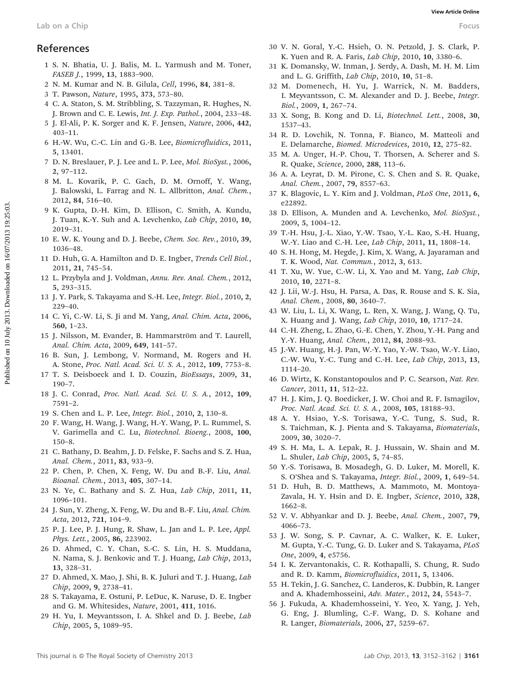#### References

- 1 S. N. Bhatia, U. J. Balis, M. L. Yarmush and M. Toner, FASEB J., 1999, 13, 1883–900.
- 2 N. M. Kumar and N. B. Gilula, Cell, 1996, 84, 381–8.
- 3 T. Pawson, Nature, 1995, 373, 573–80.
- 4 C. A. Staton, S. M. Stribbling, S. Tazzyman, R. Hughes, N. J. Brown and C. E. Lewis, Int. J. Exp. Pathol., 2004, 233–48.
- 5 J. El-Ali, P. K. Sorger and K. F. Jensen, Nature, 2006, 442, 403–11.
- 6 H.-W. Wu, C.-C. Lin and G.-B. Lee, Biomicrofluidics, 2011, 5, 13401.
- 7 D. N. Breslauer, P. J. Lee and L. P. Lee, Mol. BioSyst., 2006, 2, 97–112.
- 8 M. L. Kovarik, P. C. Gach, D. M. Ornoff, Y. Wang, J. Balowski, L. Farrag and N. L. Allbritton, Anal. Chem., 2012, 84, 516–40.
- 9 K. Gupta, D.-H. Kim, D. Ellison, C. Smith, A. Kundu, J. Tuan, K.-Y. Suh and A. Levchenko, Lab Chip, 2010, 10, 2019–31.
- 10 E. W. K. Young and D. J. Beebe, Chem. Soc. Rev., 2010, 39, 1036–48.
- 11 D. Huh, G. A. Hamilton and D. E. Ingber, Trends Cell Biol., 2011, 21, 745–54.
- 12 L. Przybyla and J. Voldman, Annu. Rev. Anal. Chem., 2012, 5, 293–315.
- 13 J. Y. Park, S. Takayama and S.-H. Lee, Integr. Biol., 2010, 2, 229–40.
- 14 C. Yi, C.-W. Li, S. Ji and M. Yang, Anal. Chim. Acta, 2006, 560, 1–23.
- 15 J. Nilsson, M. Evander, B. Hammarström and T. Laurell, Anal. Chim. Acta, 2009, 649, 141–57.
- 16 B. Sun, J. Lembong, V. Normand, M. Rogers and H. A. Stone, Proc. Natl. Acad. Sci. U. S. A., 2012, 109, 7753–8.
- 17 T. S. Deisboeck and I. D. Couzin, BioEssays, 2009, 31, 190–7.
- 18 J. C. Conrad, Proc. Natl. Acad. Sci. U. S. A., 2012, 109, 7591–2.
- 19 S. Chen and L. P. Lee, Integr. Biol., 2010, 2, 130–8.
- 20 F. Wang, H. Wang, J. Wang, H.-Y. Wang, P. L. Rummel, S. V. Garimella and C. Lu, Biotechnol. Bioeng., 2008, 100, 150–8.
- 21 C. Bathany, D. Beahm, J. D. Felske, F. Sachs and S. Z. Hua, Anal. Chem., 2011, 83, 933–9.
- 22 P. Chen, P. Chen, X. Feng, W. Du and B.-F. Liu, Anal. Bioanal. Chem., 2013, 405, 307–14.
- 23 N. Ye, C. Bathany and S. Z. Hua, Lab Chip, 2011, 11, 1096–101.
- 24 J. Sun, Y. Zheng, X. Feng, W. Du and B.-F. Liu, Anal. Chim. Acta, 2012, 721, 104–9.
- 25 P. J. Lee, P. J. Hung, R. Shaw, L. Jan and L. P. Lee, Appl. Phys. Lett., 2005, 86, 223902.
- 26 D. Ahmed, C. Y. Chan, S.-C. S. Lin, H. S. Muddana, N. Nama, S. J. Benkovic and T. J. Huang, Lab Chip, 2013, 13, 328–31.
- 27 D. Ahmed, X. Mao, J. Shi, B. K. Juluri and T. J. Huang, Lab Chip, 2009, 9, 2738–41.
- 28 S. Takayama, E. Ostuni, P. LeDuc, K. Naruse, D. E. Ingber and G. M. Whitesides, Nature, 2001, 411, 1016.
- 29 H. Yu, I. Meyvantsson, I. A. Shkel and D. J. Beebe, Lab Chip, 2005, 5, 1089–95.
- 30 V. N. Goral, Y.-C. Hsieh, O. N. Petzold, J. S. Clark, P. K. Yuen and R. A. Faris, Lab Chip, 2010, 10, 3380–6.
- 31 K. Domansky, W. Inman, J. Serdy, A. Dash, M. H. M. Lim and L. G. Griffith, Lab Chip, 2010, 10, 51–8.
- 32 M. Domenech, H. Yu, J. Warrick, N. M. Badders, I. Meyvantsson, C. M. Alexander and D. J. Beebe, Integr. Biol., 2009, 1, 267–74. Lab on a Chip<br> **References**<br> **Published on 10 July 2013.** We are the state of the state of the state of the state of the state of the state of the state of the state of the state of the state of the state of the state of t
	- 33 X. Song, B. Kong and D. Li, Biotechnol. Lett., 2008, 30, 1537–43.
	- 34 R. D. Lovchik, N. Tonna, F. Bianco, M. Matteoli and E. Delamarche, Biomed. Microdevices, 2010, 12, 275–82.
	- 35 M. A. Unger, H.-P. Chou, T. Thorsen, A. Scherer and S. R. Quake, Science, 2000, 288, 113–6.
	- 36 A. A. Leyrat, D. M. Pirone, C. S. Chen and S. R. Quake, Anal. Chem., 2007, 79, 8557–63.
	- 37 K. Blagovic, L. Y. Kim and J. Voldman, PLoS One, 2011, 6, e22892.
	- 38 D. Ellison, A. Munden and A. Levchenko, Mol. BioSyst., 2009, 5, 1004–12.
	- 39 T.-H. Hsu, J.-L. Xiao, Y.-W. Tsao, Y.-L. Kao, S.-H. Huang, W.-Y. Liao and C.-H. Lee, Lab Chip, 2011, 11, 1808–14.
	- 40 S. H. Hong, M. Hegde, J. Kim, X. Wang, A. Jayaraman and T. K. Wood, Nat. Commun., 2012, 3, 613.
	- 41 T. Xu, W. Yue, C.-W. Li, X. Yao and M. Yang, Lab Chip, 2010, 10, 2271–8.
	- 42 J. Lii, W.-J. Hsu, H. Parsa, A. Das, R. Rouse and S. K. Sia, Anal. Chem., 2008, 80, 3640–7.
	- 43 W. Liu, L. Li, X. Wang, L. Ren, X. Wang, J. Wang, Q. Tu, X. Huang and J. Wang, Lab Chip, 2010, 10, 1717–24.
	- 44 C.-H. Zheng, L. Zhao, G.-E. Chen, Y. Zhou, Y.-H. Pang and Y.-Y. Huang, Anal. Chem., 2012, 84, 2088–93.
	- 45 J.-W. Huang, H.-J. Pan, W.-Y. Yao, Y.-W. Tsao, W.-Y. Liao, C.-W. Wu, Y.-C. Tung and C.-H. Lee, Lab Chip, 2013, 13, 1114–20.
	- 46 D. Wirtz, K. Konstantopoulos and P. C. Searson, Nat. Rev. Cancer, 2011, 11, 512–22.
	- 47 H. J. Kim, J. Q. Boedicker, J. W. Choi and R. F. Ismagilov, Proc. Natl. Acad. Sci. U. S. A., 2008, 105, 18188–93.
	- 48 A. Y. Hsiao, Y.-S. Torisawa, Y.-C. Tung, S. Sud, R. S. Taichman, K. J. Pienta and S. Takayama, Biomaterials, 2009, 30, 3020–7.
	- 49 S. H. Ma, L. A. Lepak, R. J. Hussain, W. Shain and M. L. Shuler, Lab Chip, 2005, 5, 74–85.
	- 50 Y.-S. Torisawa, B. Mosadegh, G. D. Luker, M. Morell, K. S. O'Shea and S. Takayama, Integr. Biol., 2009, 1, 649–54.
	- 51 D. Huh, B. D. Matthews, A. Mammoto, M. Montoya-Zavala, H. Y. Hsin and D. E. Ingber, Science, 2010, 328, 1662–8.
	- 52 V. V. Abhyankar and D. J. Beebe, Anal. Chem., 2007, 79, 4066–73.
	- 53 J. W. Song, S. P. Cavnar, A. C. Walker, K. E. Luker, M. Gupta, Y.-C. Tung, G. D. Luker and S. Takayama, PLoS One, 2009, 4, e5756.
	- 54 I. K. Zervantonakis, C. R. Kothapalli, S. Chung, R. Sudo and R. D. Kamm, Biomicrofluidics, 2011, 5, 13406.
	- 55 H. Tekin, J. G. Sanchez, C. Landeros, K. Dubbin, R. Langer and A. Khademhosseini, Adv. Mater., 2012, 24, 5543–7.
	- 56 J. Fukuda, A. Khademhosseini, Y. Yeo, X. Yang, J. Yeh, G. Eng, J. Blumling, C.-F. Wang, D. S. Kohane and R. Langer, Biomaterials, 2006, 27, 5259–67.